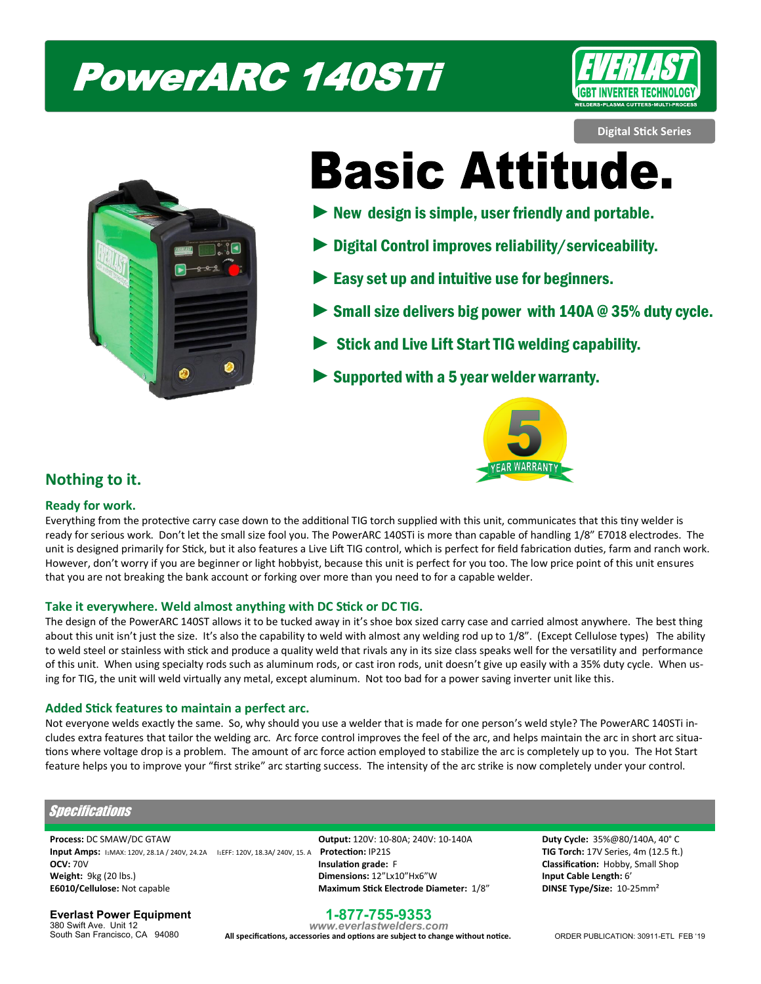# PowerARC 140STi



**Digital Stick Series**



**Basic Attitude.** 

- $\blacktriangleright$  New design is simple, user friendly and portable.
- Digital Control improves reliability/serviceability.
- Easy set up and intuitive use for beginners.
- Small size delivers big power with  $140A \otimes 35\%$  duty cycle.
- Stick and Live Lift Start TIG welding capability.
- Supported with a 5 year welder warranty.



# **Nothing to it.**

## **Ready for work.**

Everything from the protective carry case down to the additional TIG torch supplied with this unit, communicates that this tiny welder is ready for serious work. Don't let the small size fool you. The PowerARC 140STi is more than capable of handling 1/8" E7018 electrodes. The unit is designed primarily for Stick, but it also features a Live Lift TIG control, which is perfect for field fabrication duties, farm and ranch work. However, don't worry if you are beginner or light hobbyist, because this unit is perfect for you too. The low price point of this unit ensures that you are not breaking the bank account or forking over more than you need to for a capable welder.

## **Take it everywhere. Weld almost anything with DC Stick or DC TIG.**

The design of the PowerARC 140ST allows it to be tucked away in it's shoe box sized carry case and carried almost anywhere. The best thing about this unit isn't just the size. It's also the capability to weld with almost any welding rod up to 1/8". (Except Cellulose types) The ability to weld steel or stainless with stick and produce a quality weld that rivals any in its size class speaks well for the versatility and performance of this unit. When using specialty rods such as aluminum rods, or cast iron rods, unit doesn't give up easily with a 35% duty cycle. When using for TIG, the unit will weld virtually any metal, except aluminum. Not too bad for a power saving inverter unit like this.

## **Added Stick features to maintain a perfect arc.**

Not everyone welds exactly the same. So, why should you use a welder that is made for one person's weld style? The PowerARC 140STi includes extra features that tailor the welding arc. Arc force control improves the feel of the arc, and helps maintain the arc in short arc situations where voltage drop is a problem. The amount of arc force action employed to stabilize the arc is completely up to you. The Hot Start feature helps you to improve your "first strike" arc starting success. The intensity of the arc strike is now completely under your control.

## **Specifications**

**Process:** DC SMAW/DC GTAW **Output:** 120V: 10-80A; 240V: 10-140A **Duty Cycle:** 35%@80/140A, 40° C **Input Amps:**  $\frac{1}{2}$ MAX: 120V, 28.1A / 240V, 24.2A  $\frac{1}{2}$  I:EFF: 120V, 18.3A/ 240V, 15. A **Protection:** IP21S **THE COMENT 1200V TIG Torch: 17V** Series, 4m (12.5 ft.) **OCV:** 70V **Insulation grade:** F **Classification:** Hobby, Small Shop **Weight:** 9kg (20 lbs.) **Dimensions:** 12"Lx10"Hx6"W **Input Cable Length:** 6' **E6010/Cellulose:** Not capable **Maximum Stick Electrode Diameter:** 1/8" **DINSE Type/Size:** 10-25mm²

**Everlast Power Equipment**

380 Swift Ave. Unit 12 South San Francisco, CA 94080

## **1-877-755-9353**

*www.everlastwelders.com*  **All specifications, accessories and options are subject to change without notice.**

ORDER PUBLICATION: 30911-ETL FEB '19